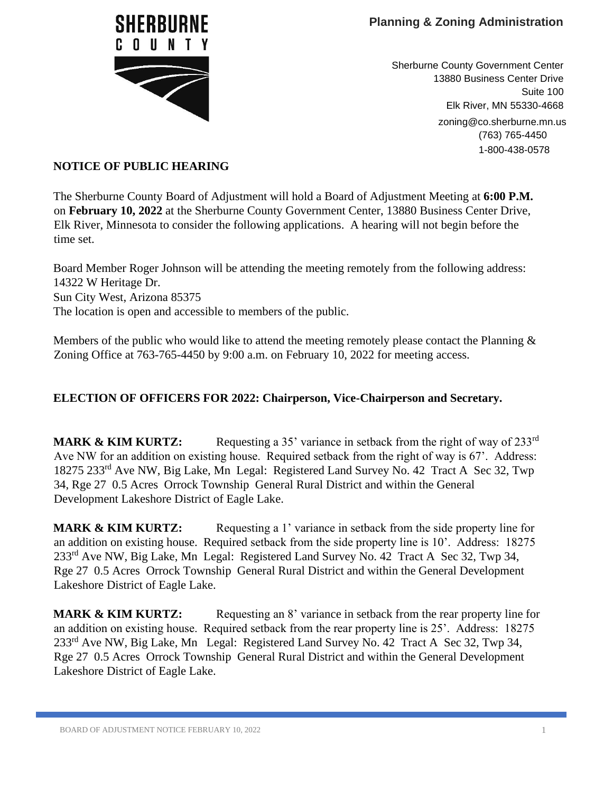

Sherburne County Government Center 13880 Business Center Drive Suite 100 Elk River, MN 55330-4668 zoning@co.sherburne.mn.us (763) 765-4450 1-800-438-0578

## **NOTICE OF PUBLIC HEARING**

The Sherburne County Board of Adjustment will hold a Board of Adjustment Meeting at **6:00 P.M.** on **February 10, 2022** at the Sherburne County Government Center, 13880 Business Center Drive, Elk River, Minnesota to consider the following applications. A hearing will not begin before the time set.

Board Member Roger Johnson will be attending the meeting remotely from the following address: 14322 W Heritage Dr. Sun City West, Arizona 85375 The location is open and accessible to members of the public.

Members of the public who would like to attend the meeting remotely please contact the Planning  $\&$ Zoning Office at 763-765-4450 by 9:00 a.m. on February 10, 2022 for meeting access.

## **ELECTION OF OFFICERS FOR 2022: Chairperson, Vice-Chairperson and Secretary.**

**MARK & KIM KURTZ:** Requesting a 35' variance in setback from the right of way of 233<sup>rd</sup> Ave NW for an addition on existing house. Required setback from the right of way is 67'. Address: 18275 233rd Ave NW, Big Lake, Mn Legal: Registered Land Survey No. 42 Tract A Sec 32, Twp 34, Rge 27 0.5 Acres Orrock Township General Rural District and within the General Development Lakeshore District of Eagle Lake.

**MARK & KIM KURTZ:** Requesting a 1' variance in setback from the side property line for an addition on existing house. Required setback from the side property line is 10'. Address: 18275 233rd Ave NW, Big Lake, Mn Legal: Registered Land Survey No. 42 Tract A Sec 32, Twp 34, Rge 27 0.5 Acres Orrock Township General Rural District and within the General Development Lakeshore District of Eagle Lake.

**MARK & KIM KURTZ:** Requesting an 8' variance in setback from the rear property line for an addition on existing house. Required setback from the rear property line is 25'. Address: 18275 233<sup>rd</sup> Ave NW, Big Lake, Mn Legal: Registered Land Survey No. 42 Tract A Sec 32, Twp 34, Rge 27 0.5 Acres Orrock Township General Rural District and within the General Development Lakeshore District of Eagle Lake.